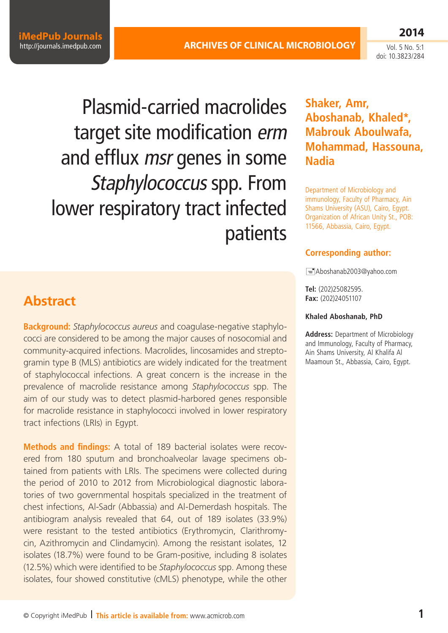**iMedPub Journals** <http://journals.imedpub.com>

Vol. 5 No. 5:1 doi: 10.3823/284

**2014**

Plasmid-carried macrolides target site modification erm and efflux *msr* genes in some Staphylococcus spp. From lower respiratory tract infected patients

## **Abstract**

**Background:** *Staphylococcus aureus* and coagulase-negative staphylococci are considered to be among the major causes of nosocomial and community-acquired infections. Macrolides, lincosamides and streptogramin type B (MLS) antibiotics are widely indicated for the treatment of staphylococcal infections. A great concern is the increase in the prevalence of macrolide resistance among *Staphylococcus* spp. The aim of our study was to detect plasmid-harbored genes responsible for macrolide resistance in staphylococci involved in lower respiratory tract infections (LRIs) in Egypt.

**Methods and findings:** A total of 189 bacterial isolates were recovered from 180 sputum and bronchoalveolar lavage specimens obtained from patients with LRIs. The specimens were collected during the period of 2010 to 2012 from Microbiological diagnostic laboratories of two governmental hospitals specialized in the treatment of chest infections, Al-Sadr (Abbassia) and Al-Demerdash hospitals. The antibiogram analysis revealed that 64, out of 189 isolates (33.9%) were resistant to the tested antibiotics (Erythromycin, Clarithromycin, Azithromycin and Clindamycin). Among the resistant isolates, 12 isolates (18.7%) were found to be Gram-positive, including 8 isolates (12.5%) which were identified to be *Staphylococcus* spp. Among these isolates, four showed constitutive (cMLS) phenotype, while the other

## **Shaker, Amr, Aboshanab, Khaled\*, Mabrouk Aboulwafa, Mohammad, Hassouna, Nadia**

Department of Microbiology and immunology, Faculty of Pharmacy, Ain Shams University (ASU), Cairo, Egypt. Organization of African Unity St., POB: 11566, Abbassia, Cairo, Egypt.

#### **Corresponding author:**

[Aboshanab2003@yahoo.com](mailto:Aboshanab2003@yahoo.com)

**Tel:** (202)25082595. **Fax:** (202)24051107

#### **Khaled Aboshanab, PhD**

**Address:** Department of Microbiology and Immunology, Faculty of Pharmacy, Ain Shams University, Al Khalifa Al Maamoun St., Abbassia, Cairo, Egypt.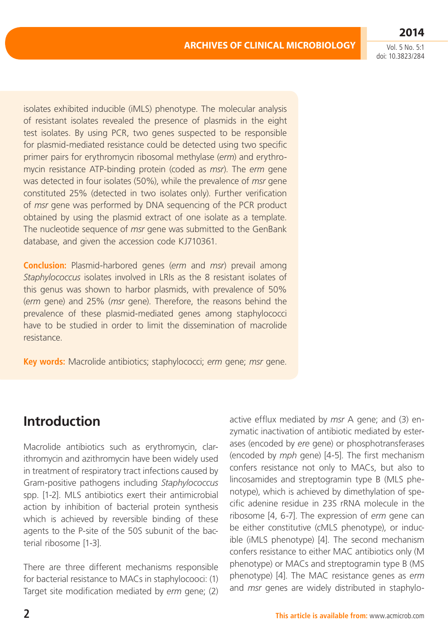**2014**

isolates exhibited inducible (iMLS) phenotype. The molecular analysis of resistant isolates revealed the presence of plasmids in the eight test isolates. By using PCR, two genes suspected to be responsible for plasmid-mediated resistance could be detected using two specific primer pairs for erythromycin ribosomal methylase (*erm*) and erythromycin resistance ATP-binding protein (coded as *msr*). The *erm* gene was detected in four isolates (50%), while the prevalence of *msr* gene constituted 25% (detected in two isolates only). Further verification of *msr* gene was performed by DNA sequencing of the PCR product obtained by using the plasmid extract of one isolate as a template. The nucleotide sequence of *msr* gene was submitted to the GenBank database, and given the accession code KJ710361.

**Conclusion:** Plasmid-harbored genes (*erm* and *msr*) prevail among *Staphylococcus* isolates involved in LRIs as the 8 resistant isolates of this genus was shown to harbor plasmids, with prevalence of 50% (*erm* gene) and 25% (*msr* gene). Therefore, the reasons behind the prevalence of these plasmid-mediated genes among staphylococci have to be studied in order to limit the dissemination of macrolide resistance.

**Key words:** Macrolide antibiotics; staphylococci; *erm* gene; *msr* gene.

# **Introduction**

Macrolide antibiotics such as erythromycin, clarithromycin and azithromycin have been widely used in treatment of respiratory tract infections caused by Gram-positive pathogens including *Staphylococcus* spp. [1-2]. MLS antibiotics exert their antimicrobial action by inhibition of bacterial protein synthesis which is achieved by reversible binding of these agents to the P-site of the 50S subunit of the bacterial ribosome [1-3].

There are three different mechanisms responsible for bacterial resistance to MACs in staphylocooci: (1) Target site modification mediated by *erm* gene; (2) active efflux mediated by *msr* A gene; and (3) enzymatic inactivation of antibiotic mediated by esterases (encoded by *ere* gene) or phosphotransferases (encoded by *mph* gene) [4-5]. The first mechanism confers resistance not only to MACs, but also to lincosamides and streptogramin type B (MLS phenotype), which is achieved by dimethylation of specific adenine residue in 23S rRNA molecule in the ribosome [4, 6-7]. The expression of *erm* gene can be either constitutive (cMLS phenotype), or inducible (iMLS phenotype) [4]. The second mechanism confers resistance to either MAC antibiotics only (M phenotype) or MACs and streptogramin type B (MS phenotype) [4]. The MAC resistance genes as *erm* and *msr* genes are widely distributed in staphylo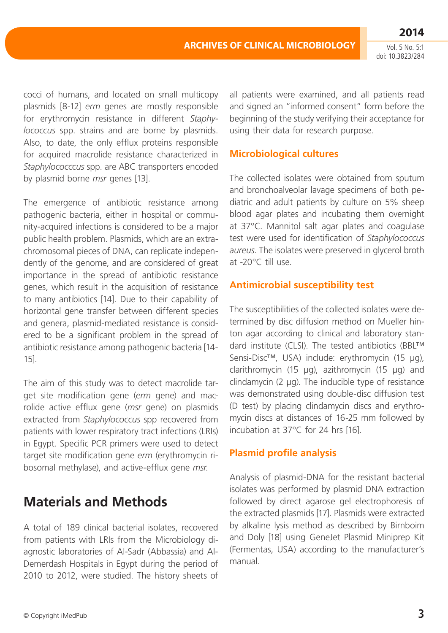cocci of humans, and located on small multicopy plasmids [8-12] *erm* genes are mostly responsible for erythromycin resistance in different *Staphylococcus* spp. strains and are borne by plasmids. Also, to date, the only efflux proteins responsible for acquired macrolide resistance characterized in *Staphylococccus* spp. are ABC transporters encoded by plasmid borne *msr* genes [13].

The emergence of antibiotic resistance among pathogenic bacteria, either in hospital or community-acquired infections is considered to be a major public health problem. Plasmids, which are an extrachromosomal pieces of DNA, can replicate independently of the genome, and are considered of great importance in the spread of antibiotic resistance genes, which result in the acquisition of resistance to many antibiotics [14]. Due to their capability of horizontal gene transfer between different species and genera, plasmid-mediated resistance is considered to be a significant problem in the spread of antibiotic resistance among pathogenic bacteria [14- 15].

The aim of this study was to detect macrolide target site modification gene (*erm* gene) and macrolide active efflux gene (*msr* gene) on plasmids extracted from *Staphylococcus* spp recovered from patients with lower respiratory tract infections (LRIs) in Egypt. Specific PCR primers were used to detect target site modification gene *erm* (erythromycin ribosomal methylase), and active-efflux gene *msr*.

# **Materials and Methods**

A total of 189 clinical bacterial isolates, recovered from patients with LRIs from the Microbiology diagnostic laboratories of Al-Sadr (Abbassia) and Al-Demerdash Hospitals in Egypt during the period of 2010 to 2012, were studied. The history sheets of all patients were examined, and all patients read and signed an "informed consent" form before the beginning of the study verifying their acceptance for using their data for research purpose.

## **Microbiological cultures**

The collected isolates were obtained from sputum and bronchoalveolar lavage specimens of both pediatric and adult patients by culture on 5% sheep blood agar plates and incubating them overnight at 37°C. Mannitol salt agar plates and coagulase test were used for identification of *Staphylococcus aureus*. The isolates were preserved in glycerol broth at -20°C till use.

## **Antimicrobial susceptibility test**

The susceptibilities of the collected isolates were determined by disc diffusion method on Mueller hinton agar according to clinical and laboratory standard institute (CLSI). The tested antibiotics (BBL™ Sensi-Disc™, USA) include: erythromycin (15 µg), clarithromycin (15 µg), azithromycin (15 µg) and  $clindamycin (2 µq)$ . The inducible type of resistance was demonstrated using double-disc diffusion test (D test) by placing clindamycin discs and erythromycin discs at distances of 16-25 mm followed by incubation at 37°C for 24 hrs [16].

## **Plasmid profile analysis**

Analysis of plasmid-DNA for the resistant bacterial isolates was performed by plasmid DNA extraction followed by direct agarose gel electrophoresis of the extracted plasmids [17]. Plasmids were extracted by alkaline lysis method as described by Birnboim and Doly [18] using GeneJet Plasmid Miniprep Kit (Fermentas, USA) according to the manufacturer's manual.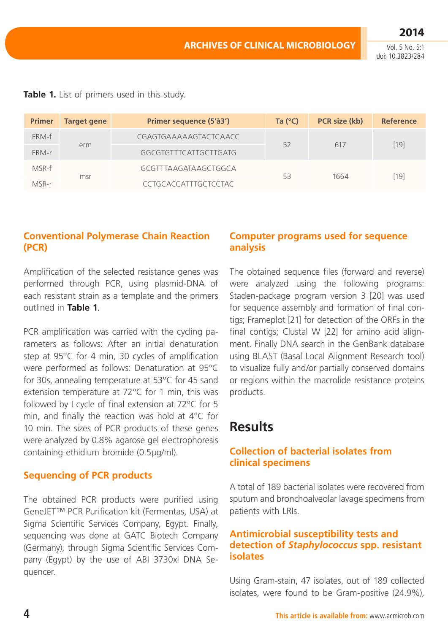**2014** Vol. 5 No. 5:1

doi: 10.3823/284

|  |  |  |  | Table 1. List of primers used in this study. |  |  |  |  |  |
|--|--|--|--|----------------------------------------------|--|--|--|--|--|
|--|--|--|--|----------------------------------------------|--|--|--|--|--|

| <b>Primer</b> | <b>Target gene</b> | Primer sequence (5'à3')     | Ta $(°C)$ | <b>PCR</b> size (kb) | <b>Reference</b> |
|---------------|--------------------|-----------------------------|-----------|----------------------|------------------|
| ERM-f         |                    | CGAGTGAAAAAGTACTCAACC       | 52        | 617                  | $[19]$           |
| ERM-r         | erm                | GGCGTGTTTCATTGCTTGATG       |           |                      |                  |
| MSR-f         |                    | GCGTTTAAGATAAGCTGGCA        |           |                      |                  |
| MSR-r         | msr                | <b>CCTGCACCATTTGCTCCTAC</b> | 53        | 1664                 | [19]             |

## **Conventional Polymerase Chain Reaction (PCR)**

Amplification of the selected resistance genes was performed through PCR, using plasmid-DNA of each resistant strain as a template and the primers outlined in **Table 1**.

PCR amplification was carried with the cycling parameters as follows: After an initial denaturation step at 95°C for 4 min, 30 cycles of amplification were performed as follows: Denaturation at 95°C for 30s, annealing temperature at 53°C for 45 sand extension temperature at 72°C for 1 min, this was followed by I cycle of final extension at 72°C for 5 min, and finally the reaction was hold at 4°C for 10 min. The sizes of PCR products of these genes were analyzed by 0.8% agarose gel electrophoresis containing ethidium bromide (0.5μg/ml).

## **Sequencing of PCR products**

The obtained PCR products were purified using GeneJET™ PCR Purification kit (Fermentas, USA) at Sigma Scientific Services Company, Egypt. Finally, sequencing was done at GATC Biotech Company (Germany), through Sigma Scientific Services Company (Egypt) by the use of ABI 3730xl DNA Sequencer.

## **Computer programs used for sequence analysis**

The obtained sequence files (forward and reverse) were analyzed using the following programs: Staden-package program version 3 [20] was used for sequence assembly and formation of final contigs; Frameplot [21] for detection of the ORFs in the final contigs; Clustal W [22] for amino acid alignment. Finally DNA search in the GenBank database using BLAST (Basal Local Alignment Research tool) to visualize fully and/or partially conserved domains or regions within the macrolide resistance proteins products.

# **Results**

## **Collection of bacterial isolates from clinical specimens**

A total of 189 bacterial isolates were recovered from sputum and bronchoalveolar lavage specimens from patients with LRIs.

## **Antimicrobial susceptibility tests and detection of** *Staphylococcus* **spp. resistant isolates**

Using Gram-stain, 47 isolates, out of 189 collected isolates, were found to be Gram-positive (24.9%),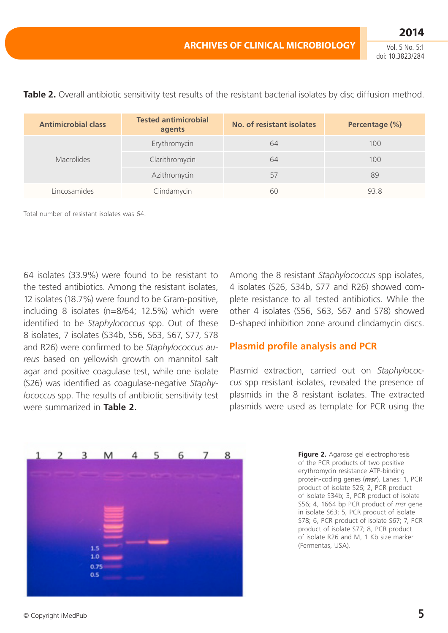| <b>Antimicrobial class</b> | <b>Tested antimicrobial</b><br>agents | No. of resistant isolates | Percentage (%) |
|----------------------------|---------------------------------------|---------------------------|----------------|
|                            | Erythromycin                          | 64                        | 100            |
| Macrolides                 | Clarithromycin                        | 64                        | 100            |
|                            | Azithromycin                          | 57                        | 89             |
| Lincosamides               | Clindamycin                           | 6C                        | 93.8           |

**Table 2.** Overall antibiotic sensitivity test results of the resistant bacterial isolates by disc diffusion method.

Total number of resistant isolates was 64.

64 isolates (33.9%) were found to be resistant to the tested antibiotics. Among the resistant isolates, 12 isolates (18.7%) were found to be Gram-positive, including 8 isolates (n=8/64; 12.5%) which were identified to be *Staphylococcus* spp. Out of these 8 isolates, 7 isolates (S34b, S56, S63, S67, S77, S78 and R26) were confirmed to be *Staphylococcus aureus* based on yellowish growth on mannitol salt agar and positive coagulase test, while one isolate (S26) was identified as coagulase-negative *Staphylococcus* spp. The results of antibiotic sensitivity test were summarized in **Table 2.**

Among the 8 resistant *Staphylococcus* spp isolates, 4 isolates (S26, S34b, S77 and R26) showed complete resistance to all tested antibiotics. While the other 4 isolates (S56, S63, S67 and S78) showed D-shaped inhibition zone around clindamycin discs.

#### **Plasmid profile analysis and PCR**

Plasmid extraction, carried out on *Staphylococcus* spp resistant isolates, revealed the presence of plasmids in the 8 resistant isolates. The extracted plasmids were used as template for PCR using the

| 1. | $2 \t3 \t M$ |   | $\overline{4}$ |                        | 5 6 7 8 |  |
|----|--------------|---|----------------|------------------------|---------|--|
|    |              |   |                |                        |         |  |
|    |              |   |                |                        |         |  |
|    |              |   |                |                        |         |  |
|    |              |   |                |                        |         |  |
|    |              |   |                |                        |         |  |
|    |              |   |                |                        |         |  |
|    |              |   |                |                        |         |  |
|    | 1.5          |   |                | <b>Service Service</b> |         |  |
|    | $1.0\,$      | - |                |                        |         |  |
|    | 0.75         |   |                |                        |         |  |
|    | 0.5          |   |                |                        |         |  |
|    |              |   |                |                        |         |  |

**Figure 2.** Agarose gel electrophoresis of the PCR products of two positive erythromycin resistance ATP-binding protein*-*coding genes (*msr*). Lanes: 1, PCR product of isolate S26; 2, PCR product of isolate S34b; 3, PCR product of isolate S56; 4, 1664 bp PCR product of *msr* gene in isolate S63; 5, PCR product of isolate S78; 6, PCR product of isolate S67; 7, PCR product of isolate S77; 8, PCR product of isolate R26 and M, 1 Kb size marker (Fermentas, USA)*.*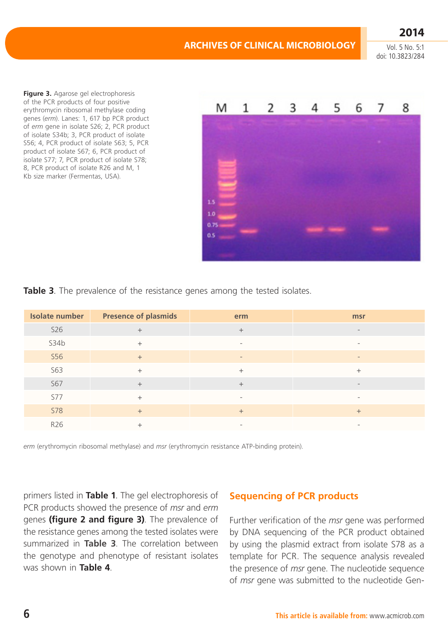**Figure 3.** Agarose gel electrophoresis of the PCR products of four positive erythromycin ribosomal methylase coding genes (*erm*). Lanes: 1, 617 bp PCR product of *erm* gene in isolate S26; 2, PCR product of isolate S34b; 3, PCR product of isolate S56; 4, PCR product of isolate S63; 5, PCR product of isolate S67; 6, PCR product of isolate S77; 7, PCR product of isolate S78; 8, PCR product of isolate R26 and M, 1 Kb size marker (Fermentas, USA)*.*



**Table 3.** The prevalence of the resistance genes among the tested isolates.

| <b>Isolate number</b> | <b>Presence of plasmids</b> | erm                      | msr                      |
|-----------------------|-----------------------------|--------------------------|--------------------------|
| <b>S26</b>            | $+$                         | $+$                      | $\overline{\phantom{a}}$ |
| S34b                  | $+$                         | $\overline{\phantom{a}}$ | $\overline{\phantom{a}}$ |
| <b>S56</b>            | $+$                         | $\qquad \qquad -$        | $\overline{\phantom{a}}$ |
| <b>S63</b>            | $+$                         | $+$                      | $^{+}$                   |
| <b>S67</b>            | $+$                         | $+$                      | $\overline{\phantom{a}}$ |
| <b>S77</b>            | $+$                         | $\overline{\phantom{a}}$ | $\overline{\phantom{a}}$ |
| <b>S78</b>            | $+$                         | $+$                      | $+$                      |
| R26                   | $^{+}$                      |                          | $\qquad \qquad =$        |

*erm* (erythromycin ribosomal methylase) and *msr* (erythromycin resistance ATP-binding protein).

primers listed in **Table 1**. The gel electrophoresis of PCR products showed the presence of *msr* and *erm* genes **(figure 2 and figure 3)**. The prevalence of the resistance genes among the tested isolates were summarized in **Table 3**. The correlation between the genotype and phenotype of resistant isolates was shown in **Table 4**.

## **Sequencing of PCR products**

Further verification of the *msr* gene was performed by DNA sequencing of the PCR product obtained by using the plasmid extract from isolate S78 as a template for PCR. The sequence analysis revealed the presence of *msr* gene. The nucleotide sequence of *msr* gene was submitted to the nucleotide Gen-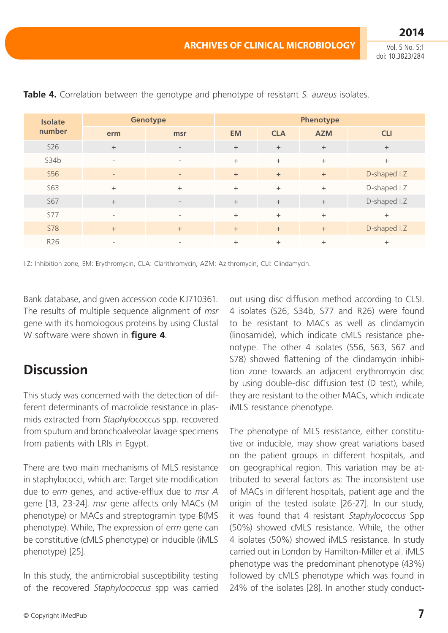**2014**

| <b>Isolate</b> | <b>Genotype</b>          | Phenotype                |           |            |            |              |
|----------------|--------------------------|--------------------------|-----------|------------|------------|--------------|
| number         | erm                      | msr                      | <b>EM</b> | <b>CLA</b> | <b>AZM</b> | <b>CLI</b>   |
| <b>S26</b>     | $+$                      | $\overline{\phantom{a}}$ | $+$       | $+$        | $+$        | $+$          |
| S34b           | $\overline{\phantom{a}}$ | $\overline{\phantom{a}}$ | $+$       | $+$        | $^{+}$     | $+$          |
| <b>S56</b>     | $\overline{\phantom{m}}$ | $\qquad \qquad -$        | $+$       | $+$        | $+$        | D-shaped I.Z |
| <b>S63</b>     | $+$                      | $+$                      | $+$       | $+$        | $+$        | D-shaped I.Z |
| <b>S67</b>     | $+$                      | $\overline{\phantom{a}}$ | $+$       | $+$        | $+$        | D-shaped I.Z |
| <b>S77</b>     | $\overline{\phantom{a}}$ | $\overline{\phantom{a}}$ | $+$       | $^{+}$     | $+$        | $^{+}$       |
| <b>S78</b>     | $+$                      | $+$                      | $+$       | $+$        | $+$        | D-shaped I.Z |
| R26            | $\overline{\phantom{a}}$ | $\overline{\phantom{a}}$ | $^{+}$    | $^{+}$     | $^{+}$     | $^{+}$       |

**Table 4.** Correlation between the genotype and phenotype of resistant *S. aureus* isolates.

I.Z: Inhibition zone, EM: Erythromycin, CLA: Clarithromycin, AZM: Azithromycin, CLI: Clindamycin.

Bank database, and given accession code KJ710361. The results of multiple sequence alignment of *msr*  gene with its homologous proteins by using Clustal W software were shown in **figure 4**.

# **Discussion**

This study was concerned with the detection of different determinants of macrolide resistance in plasmids extracted from *Staphylococcus* spp. recovered from sputum and bronchoalveolar lavage specimens from patients with LRIs in Egypt.

There are two main mechanisms of MLS resistance in staphylococci, which are: Target site modification due to *erm* genes, and active-efflux due to *msr A* gene [13, 23-24]. *msr* gene affects only MACs (M phenotype) or MACs and streptogramin type B(MS phenotype). While, The expression of *erm* gene can be constitutive (cMLS phenotype) or inducible (iMLS phenotype) [25].

In this study, the antimicrobial susceptibility testing of the recovered *Staphylococcus* spp was carried out using disc diffusion method according to CLSI. 4 isolates (S26, S34b, S77 and R26) were found to be resistant to MACs as well as clindamycin (linosamide), which indicate cMLS resistance phenotype. The other 4 isolates (S56, S63, S67 and S78) showed flattening of the clindamycin inhibition zone towards an adjacent erythromycin disc by using double-disc diffusion test (D test), while, they are resistant to the other MACs, which indicate iMLS resistance phenotype.

The phenotype of MLS resistance, either constitutive or inducible, may show great variations based on the patient groups in different hospitals, and on geographical region. This variation may be attributed to several factors as: The inconsistent use of MACs in different hospitals, patient age and the origin of the tested isolate [26-27]. In our study, it was found that 4 resistant *Staphylococcus* Spp (50%) showed cMLS resistance. While, the other 4 isolates (50%) showed iMLS resistance. In study carried out in London by Hamilton-Miller et al. iMLS phenotype was the predominant phenotype (43%) followed by cMLS phenotype which was found in 24% of the isolates [28]. In another study conduct-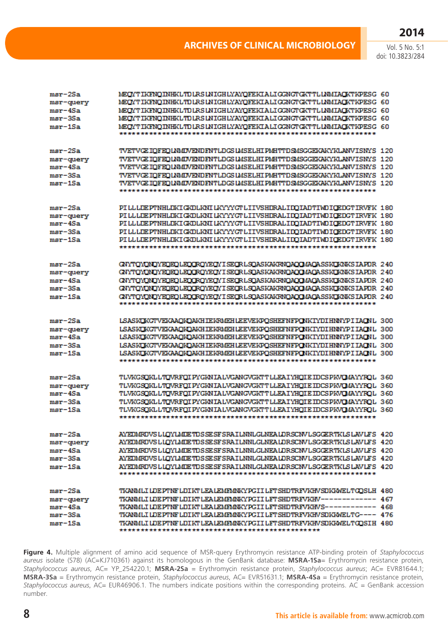| msr-2Sa   | MEOYTIKENOINHKLTDLRSLNIGHLYAYOFEKIALIGGNGTGKTTLLNMIAOKTKPESG 60            |  |
|-----------|----------------------------------------------------------------------------|--|
| msr-query | MEOYTIKFNOINHKLTDLRSLNIGHLYAYOFEKIALIGGNGTGKTTLLNMIAOKTKPESG 60            |  |
| msr-4Sa   | MEOYTIKENOINHKLTDLRSLNIGHLYAYOFEKIALIGGNGTGKTTLLNMIAOKTKPESG 60            |  |
| msr-3Sa   | MEOYTIKENOINHKLTDLRSLNIGHLYAYOFEKIALIGGNGTGKTTLLNMIAOKTKPESG 60            |  |
| msr-1Sa   | MEOYTIKFNOINHKLTDLRSLNIGHLYAYOFEKIALIGGNGTGKTTLLNMIAOKTKPESG 60            |  |
|           |                                                                            |  |
|           |                                                                            |  |
| msr-2Sa   | TVETVGE IOFEOLNMIN/ENDFNTLDGS LMSELHI PMHTTDSMSGGEKAKYKLANVISNYS 120       |  |
| msr-query | TVETVGE IQFEQLNMIVENDFNTLDGSLMSELHIPMHTTDSMSGGEKAKYKLANVISNYS 120          |  |
| msr-4Sa   | TVETVGE IOFEOLNMINGNDFNTLDGSLMSELHIPMHTTDSMSGGEKAKYKLANVISNYS 120          |  |
| msr-3Sa   | TVETVGE IOFEOLNMINGNDFNTLDGSLMSELHIPMHTTDSMSGGEKAKYKLANVISNYS 120          |  |
| msr-1Sa   | TVETVGE IOFEOLNMINGNDFNTLDGSLMSELHIPMHTTDSMSGGEKAKYKLANVISNYS 120          |  |
|           |                                                                            |  |
| msr-2Sa   | PILLLDEPTNHLDKIGKDLKNILKYYYGTLIIVSHDRALIDOIADTIWDIGEDGTIRVFK 180           |  |
| msr-query | PILLLDEPTNHLDKIGKDLKNILKYYYGTLIIVSHDRALIDQIADTIWDIGEDGTIRVFK 180           |  |
| msr-4Sa   | PILLLDEPTNHLDKIGKDLKNILKYYYGTLIIVSHDRALIDQIADTIWDIGEDGTIRVFK 180           |  |
| msr-3Sa   | PILLLDEPTNHLDKIGKDLKNILKYYYGTLIIVSHDRALIDQIADTIWDIGEDGTIRVFK 180           |  |
| msr-1Sa   | PILLLDEPTNHLDKIGKDLKNILKYYYGTLIIVSHDRALIDOIADTIVDIGEDGTIRVFK 180           |  |
|           |                                                                            |  |
|           |                                                                            |  |
| msr-2Sa   | GNYTOYONOYEOEOLEOGROYEOYISEGRLSOASKAKRNOAOQMAQASSKOKNKSIAPDR 240           |  |
| msr-query | GNYTOVONOVEOEOLEOGROVEOVISEGRLSOASKAKRNOAOGMAOASSKOKNKSIAPDR 240           |  |
| msr-4Sa   | GNYTOVONOYEOEOLEOGROYEOYISEGRLSOASKAKRNOAOOMAOASSKOKNKSIAPDR 240           |  |
| msr-3Sa   | GNYTOVONOVEOEOLEOGROVEOVISEGRLSOASKAKRNOAOOMAOASSKOKNKSIAPDR 240           |  |
| $mer-1Sa$ | GNYTOYONOYEOEOLEOGROYEOYISEGRLSOASKAKRNOAOGMAQASSKCKNKSIAPDR 240           |  |
|           |                                                                            |  |
|           |                                                                            |  |
| msr-2Sa   | LSASKOKGTVEKAAOKOAKHIEKRMEHLEEVEKPOSHEFNFPONKIYDIHNNYPIIAONL 300           |  |
| msr-query | LSASKOKGTVEKAAOKOAKHIEKRMEHLEEVEKPOSHEFNFPONKIYDIHNNYPIIAONL 300           |  |
| msr-4Sa   | LSASKOKGTVEKAAOKOAKHIEKRMEHLEEVEKPOSHEFNFPONKIYDIHNNYPIIAONL 300           |  |
| msr-3Sa   | LSASKOKGTVEKAAOKOAKHIEKRMEHLEEVEKPOSHEFNFPONKIYDIHNNYPIIAONL 300           |  |
| msr-1Sa   | LSASKOKGTVEKAAOKOAKHIEKRMEHLEEVEKPOSHEFNFPONKIYDIHNNYPIIAONL 300           |  |
|           |                                                                            |  |
| msr-2Sa   | TLVKGSOKLLTOVRFOIPYGKNIALVGANGVGKTTLLEAIYHOIEIDCSPKVOMAYYROL 360           |  |
| msr-query | TLVKGSOKLLTOVRFOIPYGKNIALVGANGVGKTTLLEAIYHOIEIDCSPKVOMAYYROL 360           |  |
| $msr-4Sa$ | TLVKGSOKLLTOVRFOIPYGKNIALVGANGVGKTTLLEAIYHOIEIDCSPKVOMAYYROL 360           |  |
| msr-3Sa   | TLVKGSOKLLTOVRFOIPYGKNIALVGANGVGKTTLLEAIYHOIEIDCSPKVOMAYYROL 360           |  |
| msr-1Sa   | TLVKGSOKLLTOVRFOIPYGKNIALVGANGVGKTTLLEAIYHOIEIDCSPKVOMAYYROL 360           |  |
|           |                                                                            |  |
|           |                                                                            |  |
| $msr-2Sa$ | AYEDMRDVSLIOYLMDETDSSESFSRAILNNLGLNEALDRSCNVLSGGERTKLSLAVLFS 420           |  |
| msr-query | AYEDMRDVSLLOYLMDETDSSESFSRAILNNLGLNEALDRSCNVLSGGERTKLSLAVLFS 420           |  |
| msr-4Sa   | AYEDMRDVSLLOYLMDETDSSESFSRAILNNLGLNEALDRSCNVLSGGERTKLSLAVLFS 420           |  |
| msr-3Sa   | AYEDMRDVSLIOYLMDETDSSESFSRAILNNLGLNEALDRSCNVLSGGERTKLSLAVLFS 420           |  |
| $msr-1Sa$ | AYEDMRDVSLLOYLMDETDSSESFSRAILNNLGLNEALDRSCNVLSGGERTKLSLAVLFS 420           |  |
|           |                                                                            |  |
| msr-2Sa   | TKANMLI LDEPTNF LDIKT LEA LEMFMNKYPG II LFT SHDTRFVKHV SDKIWELT GOSLH 480  |  |
| msr-query | TKANMLILDEPTNFLDIKTLEALEMFMNKYPGIILFTSHDTRFVKHV------------ 467            |  |
| msr-4Sa   | TKANMLI LDEPTNF LDIKT LEALEMFMNKYPGII LFT SHDTRFVKHVS----------- 468       |  |
| msr-3Sa   | TKANMLI LDEPTNF LDIKT LEA LEMFMNKYPG II LFT SHDTRFVKHV SDKIWELT G---- 476  |  |
| $msr-1Sa$ | TKANMLI LDE PTNF LDIKT LEA LEMFMNKY PGII LFT SHDTRFVKHV SDKKWELT GOSIH 480 |  |
|           |                                                                            |  |
|           |                                                                            |  |

**Figure 4.** Multiple alignment of amino acid sequence of MSR-query Erythromycin resistance ATP-binding protein of *Staphylococcus aureus* isolate (S78) (AC=KJ710361) against its homologous in the GenBank database: **MSRA-1Sa**= Erythromycin resistance protein*, Staphylococcus aureus*, AC= YP\_254220.1; **MSRA-2Sa** = Erythromycin resistance protein, *Staphylococcus aureus*; AC= EVR81644.1; **MSRA-3Sa** = Erythromycin resistance protein, *Staphylococcus aureus*, AC= EVR51631.1; **MSRA-4Sa** = Erythromycin resistance protein*, Staphylococcus aureus*, AC= EUR46906.1. The numbers indicate positions within the corresponding proteins. AC = GenBank accession number.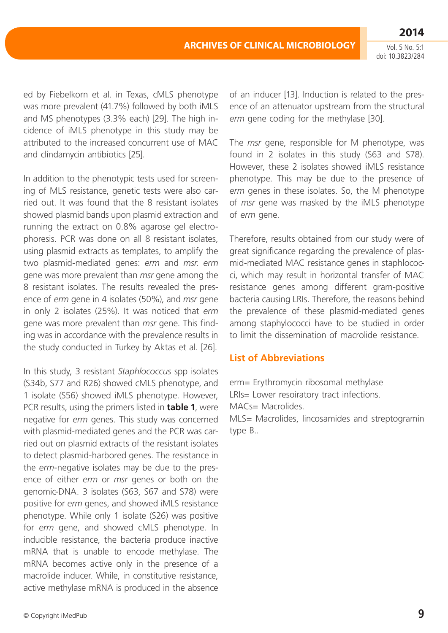ed by Fiebelkorn et al. in Texas, cMLS phenotype was more prevalent (41.7%) followed by both iMLS and MS phenotypes (3.3% each) [29]. The high incidence of iMLS phenotype in this study may be attributed to the increased concurrent use of MAC and clindamycin antibiotics [25].

In addition to the phenotypic tests used for screening of MLS resistance, genetic tests were also carried out. It was found that the 8 resistant isolates showed plasmid bands upon plasmid extraction and running the extract on 0.8% agarose gel electrophoresis. PCR was done on all 8 resistant isolates, using plasmid extracts as templates, to amplify the two plasmid-mediated genes: *erm* and *msr*. *erm* gene was more prevalent than *msr* gene among the 8 resistant isolates. The results revealed the presence of *erm* gene in 4 isolates (50%), and *msr* gene in only 2 isolates (25%). It was noticed that *erm* gene was more prevalent than *msr* gene. This finding was in accordance with the prevalence results in the study conducted in Turkey by Aktas et al. [26].

In this study, 3 resistant *Staphlococcus* spp isolates (S34b, S77 and R26) showed cMLS phenotype, and 1 isolate (S56) showed iMLS phenotype. However, PCR results, using the primers listed in **table 1**, were negative for *erm* genes. This study was concerned with plasmid-mediated genes and the PCR was carried out on plasmid extracts of the resistant isolates to detect plasmid-harbored genes. The resistance in the *erm*-negative isolates may be due to the presence of either *erm* or *msr* genes or both on the genomic-DNA. 3 isolates (S63, S67 and S78) were positive for *erm* genes, and showed iMLS resistance phenotype. While only 1 isolate (S26) was positive for *erm* gene, and showed cMLS phenotype. In inducible resistance, the bacteria produce inactive mRNA that is unable to encode methylase. The mRNA becomes active only in the presence of a macrolide inducer. While, in constitutive resistance, active methylase mRNA is produced in the absence of an inducer [13]. Induction is related to the presence of an attenuator upstream from the structural *erm* gene coding for the methylase [30].

The *msr* gene, responsible for M phenotype, was found in 2 isolates in this study (S63 and S78). However, these 2 isolates showed iMLS resistance phenotype. This may be due to the presence of *erm* genes in these isolates. So, the M phenotype of *msr* gene was masked by the iMLS phenotype of *erm* gene.

Therefore, results obtained from our study were of great significance regarding the prevalence of plasmid-mediated MAC resistance genes in staphlococci, which may result in horizontal transfer of MAC resistance genes among different gram-positive bacteria causing LRIs. Therefore, the reasons behind the prevalence of these plasmid-mediated genes among staphylococci have to be studied in order to limit the dissemination of macrolide resistance.

## **List of Abbreviations**

erm= Erythromycin ribosomal methylase LRIs= Lower resoiratory tract infections. MACs= Macrolides.

MLS= Macrolides, lincosamides and streptogramin type B..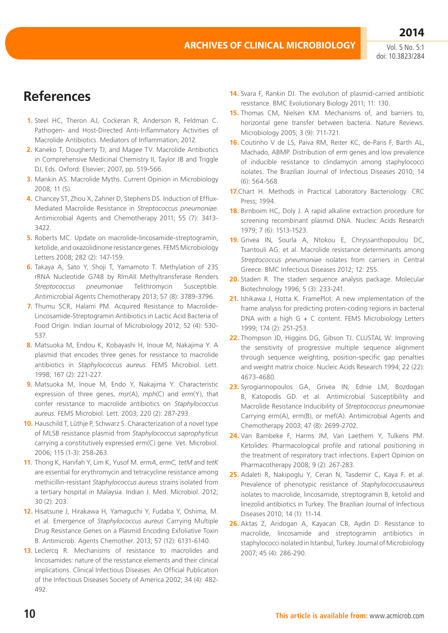**2014**

## **References**

- **1.** Steel HC, Theron AJ, Cockeran R, Anderson R, Feldman C. Pathogen- and Host-Directed Anti-Inflammatory Activities of Macrolide Antibiotics. Mediators of Inflammation; 2012.
- **2.** Kaneko T, Dougherty TJ, and Magee TV. Macrolide Antibiotics in Comprehensive Medicinal Chemistry II, Taylor JB and Triggle DJ, Eds. Oxford: Elsevier; 2007, pp. 519-566.
- **3.** Mankin AS. Macrolide Myths. Current Opinion in Microbiology 2008; 11 (5).
- **4.** Chancey ST, Zhou X, Zahner D, Stephens DS. Induction of Efflux-Mediated Macrolide Resistance in *Streptococcus pneumoniae*. Antimicrobial Agents and Chemotherapy 2011; 55 (7): 3413- 3422.
- **5.** Roberts MC. Update on macrolide-lincosamide-streptogramin, ketolide, and oxazolidinone resistance genes. FEMS Microbiology Letters 2008; 282 (2): 147-159.
- **6.** Takaya A, Sato Y, Shoji T, Yamamoto T. Methylation of 23S rRNA Nucleotide G748 by RlmAII Methyltransferase Renders *Streptococcus pneumoniae* Telithromycin Susceptible. Antimicrobial Agents Chemotherapy 2013; 57 (8): 3789-3796.
- **7.** Thumu SCR, Halami PM. Acquired Resistance to Macrolide-Lincosamide-Streptogramin Antibiotics in Lactic Acid Bacteria of Food Origin. Indian Journal of Microbiology 2012; 52 (4): 530- 537.
- **8.** Matsuoka M, Endou K, Kobayashi H, Inoue M, Nakajima Y. A plasmid that encodes three genes for resistance to macrolide antibiotics in *Staphylococcus aureus.* FEMS Microbiol. Lett. 1998; 167 (2): 221-227.
- **9.** Matsuoka M, Inoue M, Endo Y, Nakajima Y. Characteristic expression of three genes, *msr*(A), *mph*(C) and *erm*(Y), that confer resistance to macrolide antibiotics on *Staphylococcus aureus.* FEMS Microbiol. Lett. 2003; 220 (2): 287-293.
- **10.** Hauschild T, Lüthje P, Schwarz S. Characterization of a novel type of MLSB resistance plasmid from *Staphylococcus saprophyticus* carrying a constitutively expressed erm(C) gene. Vet. Microbiol. 2006; 115 (1-3): 258-263.
- **11.** Thong K, Hanifah Y, Lim K, Yusof M. *ermA*, *ermC, tetM* and *tetK* are essential for erythromycin and tetracycline resistance among methicillin-resistant *Staphylococcus aureus* strains isolated from a tertiary hospital in Malaysia. Indian J. Med. Microbiol. 2012; 30 (2): 203.
- **12.** Hisatsune J, Hirakawa H, Yamaguchi Y, Fudaba Y, Oshima, M. et al. Emergence of *Staphylococcus aureus* Carrying Multiple Drug Resistance Genes on a Plasmid Encoding Exfoliative Toxin B. Antimicrob. Agents Chemother. 2013; 57 (12): 6131-6140.
- **13.** Leclercq R. Mechanisms of resistance to macrolides and lincosamides: nature of the resistance elements and their clinical implications. Clinical Infectious Diseases: An Official Publication of the Infectious Diseases Society of America 2002; 34 (4): 482- 492.
- **14.** Svara F, Rankin DJ. The evolution of plasmid-carried antibiotic resistance. BMC Evolutionary Biology 2011; 11: 130.
- **15.** Thomas CM, Nielsen KM. Mechanisms of, and barriers to, horizontal gene transfer between bacteria. Nature Reviews. Microbiology 2005; 3 (9): 711-721.
- **16.** Coutinho V de LS, Paiva RM, Reiter KC, de-Paris F, Barth AL, Machado, ABMP. Distribution of *erm* genes and low prevalence of inducible resistance to clindamycin among staphylococci isolates. The Brazilian Journal of Infectious Diseases 2010; 14 (6): 564-568.
- **17.**Chart H. Methods in Practical Laboratory Bacteriology. CRC Press; 1994.
- **18.** Birnboim HC, Doly J. A rapid alkaline extraction procedure for screening recombinant plasmid DNA. Nucleic Acids Research 1979; 7 (6): 1513-1523.
- **19.** Grivea IN, Sourla A, Ntokou E, Chryssanthopoulou DC, Tsantouli AG. et al. Macrolide resistance determinants among *Streptococcus pneumoniae* isolates from carriers in Central Greece. BMC Infectious Diseases 2012; 12: 255.
- **20.** Staden R. The staden sequence analysis package. Molecular Biotechnology 1996; 5 (3): 233-241.
- **21.** Ishikawa J, Hotta K. FramePlot: A new implementation of the frame analysis for predicting protein-coding regions in bacterial DNA with a high  $G + C$  content. FEMS Microbiology Letters 1999; 174 (2): 251-253.
- **22.** Thompson JD, Higgins DG, Gibson TJ. CLUSTAL W: Improving the sensitivity of progressive multiple sequence alignment through sequence weighting, position-specific gap penalties and weight matrix choice. Nucleic Acids Research 1994; 22 (22): 4673-4680.
- **23.** Syrogiannopoulos GA, Grivea IN, Ednie LM, Bozdogan B, Katopodis GD. et al. Antimicrobial Susceptibility and Macrolide Resistance Inducibility of *Streptococcus pneumoniae* Carrying erm(A), erm(B), or mef(A). Antimicrobial Agents and Chemotherapy 2003; 47 (8): 2699-2702.
- **24.** Van Bambeke F, Harms JM, Van Laethem Y, Tulkens PM. Ketolides: Pharmacological profile and rational positioning in the treatment of respiratory tract infections. Expert Opinion on Pharmacotherapy 2008; 9 (2): 267-283.
- **25.** Adaleti R, Nakipoglu Y, Ceran N, Tasdemir C, Kaya F. et al. Prevalence of phenotypic resistance of *Staphylococcusaureus* isolates to macrolide, lincosamide, streptogramin B, ketolid and linezolid antibiotics in Turkey. The Brazilian Journal of Infectious Diseases 2010; 14 (1): 11-14.
- **26.** Aktas Z, Aridogan A, Kayacan CB, Aydin D. Resistance to macrolide, lincosamide and streptogramin antibiotics in staphylococci isolated in Istanbul, Turkey. Journal of Microbiology 2007; 45 (4): 286-290.